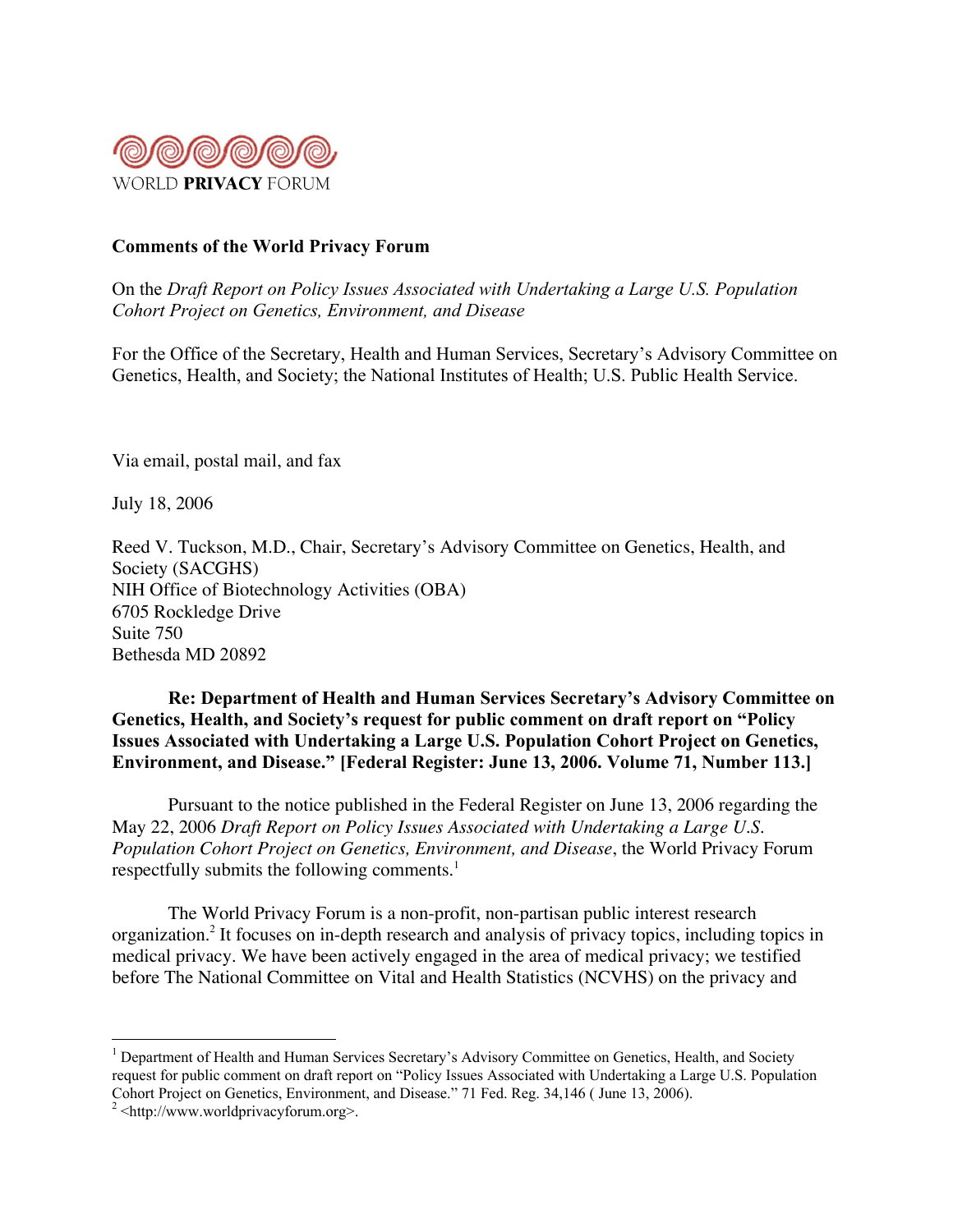

# Comments of the World Privacy Forum

On the *Draft Report on Policy Issues Associated with Undertaking a Large U.S. Population Cohort Project on Genetics, Environment, and Disease*

For the Office of the Secretary, Health and Human Services, Secretary's Advisory Committee on Genetics, Health, and Society; the National Institutes of Health; U.S. Public Health Service.

Via email, postal mail, and fax

July 18, 2006

Reed V. Tuckson, M.D., Chair, Secretary's Advisory Committee on Genetics, Health, and Society (SACGHS) NIH Office of Biotechnology Activities (OBA) 6705 Rockledge Drive Suite 750 Bethesda MD 20892

Re: Department of Health and Human Services Secretary's Advisory Committee on Genetics, Health, and Society's request for public comment on draft report on "Policy Issues Associated with Undertaking a Large U.S. Population Cohort Project on Genetics, Environment, and Disease." [Federal Register: June 13, 2006. Volume 71, Number 113.]

Pursuant to the notice published in the Federal Register on June 13, 2006 regarding the May 22, 2006 *Draft Report on Policy Issues Associated with Undertaking a Large U.S. Population Cohort Project on Genetics, Environment, and Disease*, the World Privacy Forum respectfully submits the following comments.<sup>1</sup>

The World Privacy Forum is a non-profit, non-partisan public interest research organization.<sup>2</sup> It focuses on in-depth research and analysis of privacy topics, including topics in medical privacy. We have been actively engaged in the area of medical privacy; we testified before The National Committee on Vital and Health Statistics (NCVHS) on the privacy and

 $\frac{1}{1}$ <sup>1</sup> Department of Health and Human Services Secretary's Advisory Committee on Genetics, Health, and Society request for public comment on draft report on "Policy Issues Associated with Undertaking a Large U.S. Population Cohort Project on Genetics, Environment, and Disease." 71 Fed. Reg. 34,146 ( June 13, 2006).

 $2$  <http://www.worldprivacyforum.org>.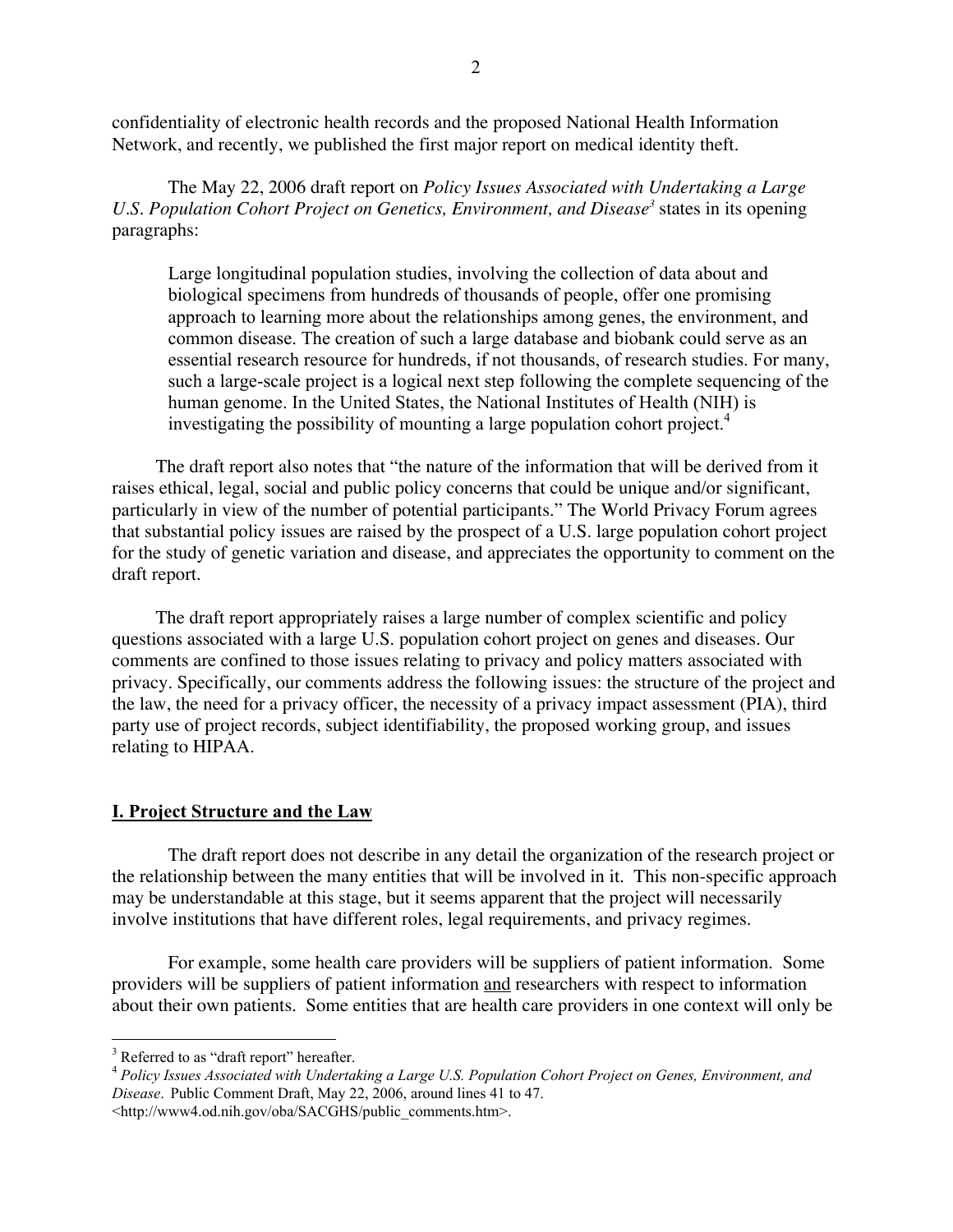confidentiality of electronic health records and the proposed National Health Information Network, and recently, we published the first major report on medical identity theft.

The May 22, 2006 draft report on *Policy Issues Associated with Undertaking a Large* U.S. Population Cohort Project on Genetics, Environment, and Disease<sup>3</sup> states in its opening paragraphs:

Large longitudinal population studies, involving the collection of data about and biological specimens from hundreds of thousands of people, offer one promising approach to learning more about the relationships among genes, the environment, and common disease. The creation of such a large database and biobank could serve as an essential research resource for hundreds, if not thousands, of research studies. For many, such a large-scale project is a logical next step following the complete sequencing of the human genome. In the United States, the National Institutes of Health (NIH) is investigating the possibility of mounting a large population cohort project.<sup>4</sup>

The draft report also notes that "the nature of the information that will be derived from it raises ethical, legal, social and public policy concerns that could be unique and/or significant, particularly in view of the number of potential participants." The World Privacy Forum agrees that substantial policy issues are raised by the prospect of a U.S. large population cohort project for the study of genetic variation and disease, and appreciates the opportunity to comment on the draft report.

The draft report appropriately raises a large number of complex scientific and policy questions associated with a large U.S. population cohort project on genes and diseases. Our comments are confined to those issues relating to privacy and policy matters associated with privacy. Specifically, our comments address the following issues: the structure of the project and the law, the need for a privacy officer, the necessity of a privacy impact assessment (PIA), third party use of project records, subject identifiability, the proposed working group, and issues relating to HIPAA.

### I. Project Structure and the Law

The draft report does not describe in any detail the organization of the research project or the relationship between the many entities that will be involved in it. This non-specific approach may be understandable at this stage, but it seems apparent that the project will necessarily involve institutions that have different roles, legal requirements, and privacy regimes.

For example, some health care providers will be suppliers of patient information. Some providers will be suppliers of patient information and researchers with respect to information about their own patients. Some entities that are health care providers in one context will only be

<sup>&</sup>lt;sup>2</sup><br>3 <sup>3</sup> Referred to as "draft report" hereafter.

<sup>4</sup> *Policy Issues Associated with Undertaking a Large U.S. Population Cohort Project on Genes, Environment, and Disease*. Public Comment Draft, May 22, 2006, around lines 41 to 47.

<sup>&</sup>lt;http://www4.od.nih.gov/oba/SACGHS/public\_comments.htm>.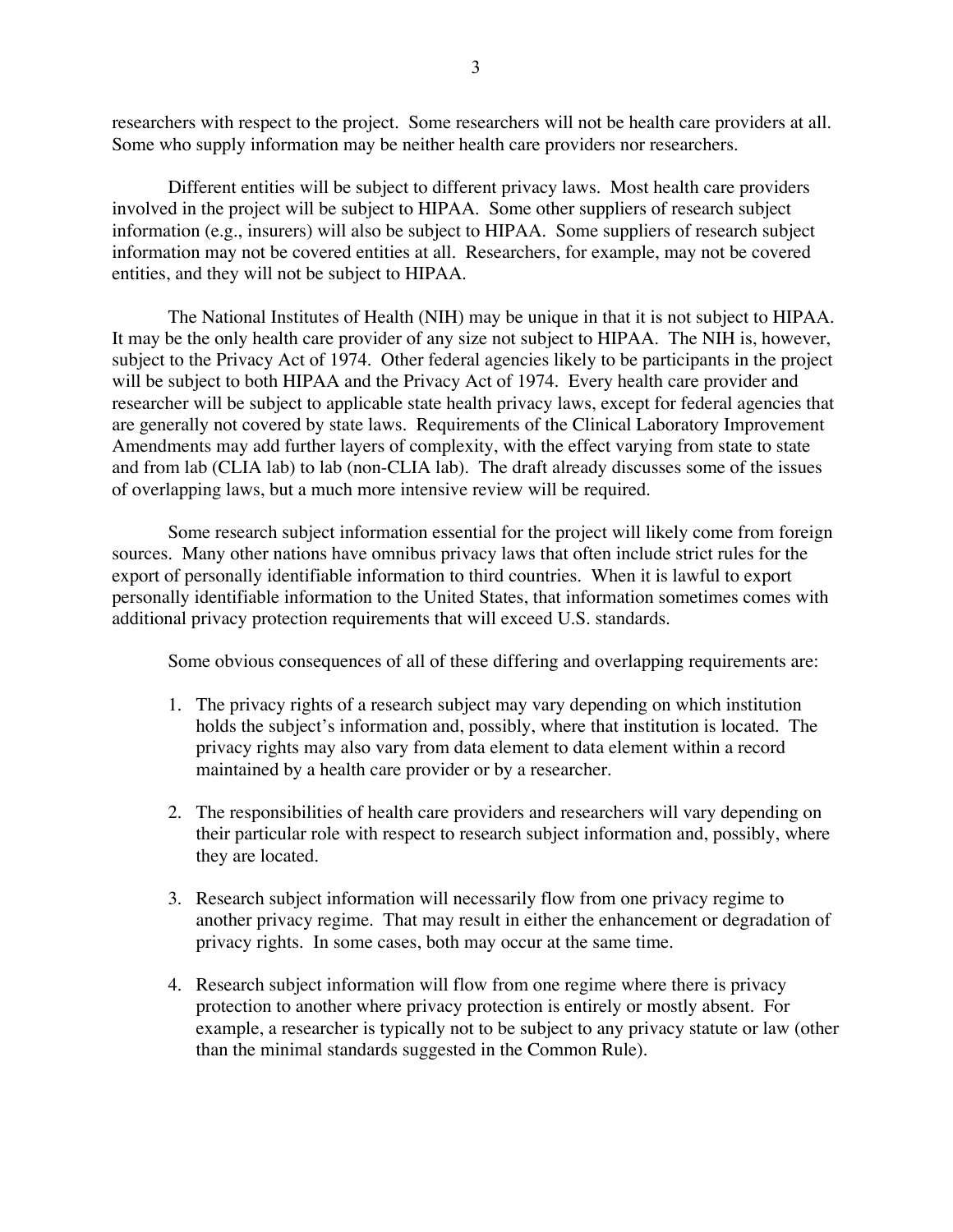researchers with respect to the project. Some researchers will not be health care providers at all. Some who supply information may be neither health care providers nor researchers.

Different entities will be subject to different privacy laws. Most health care providers involved in the project will be subject to HIPAA. Some other suppliers of research subject information (e.g., insurers) will also be subject to HIPAA. Some suppliers of research subject information may not be covered entities at all. Researchers, for example, may not be covered entities, and they will not be subject to HIPAA.

The National Institutes of Health (NIH) may be unique in that it is not subject to HIPAA. It may be the only health care provider of any size not subject to HIPAA. The NIH is, however, subject to the Privacy Act of 1974. Other federal agencies likely to be participants in the project will be subject to both HIPAA and the Privacy Act of 1974. Every health care provider and researcher will be subject to applicable state health privacy laws, except for federal agencies that are generally not covered by state laws. Requirements of the Clinical Laboratory Improvement Amendments may add further layers of complexity, with the effect varying from state to state and from lab (CLIA lab) to lab (non-CLIA lab). The draft already discusses some of the issues of overlapping laws, but a much more intensive review will be required.

Some research subject information essential for the project will likely come from foreign sources. Many other nations have omnibus privacy laws that often include strict rules for the export of personally identifiable information to third countries. When it is lawful to export personally identifiable information to the United States, that information sometimes comes with additional privacy protection requirements that will exceed U.S. standards.

Some obvious consequences of all of these differing and overlapping requirements are:

- 1. The privacy rights of a research subject may vary depending on which institution holds the subject's information and, possibly, where that institution is located. The privacy rights may also vary from data element to data element within a record maintained by a health care provider or by a researcher.
- 2. The responsibilities of health care providers and researchers will vary depending on their particular role with respect to research subject information and, possibly, where they are located.
- 3. Research subject information will necessarily flow from one privacy regime to another privacy regime. That may result in either the enhancement or degradation of privacy rights. In some cases, both may occur at the same time.
- 4. Research subject information will flow from one regime where there is privacy protection to another where privacy protection is entirely or mostly absent. For example, a researcher is typically not to be subject to any privacy statute or law (other than the minimal standards suggested in the Common Rule).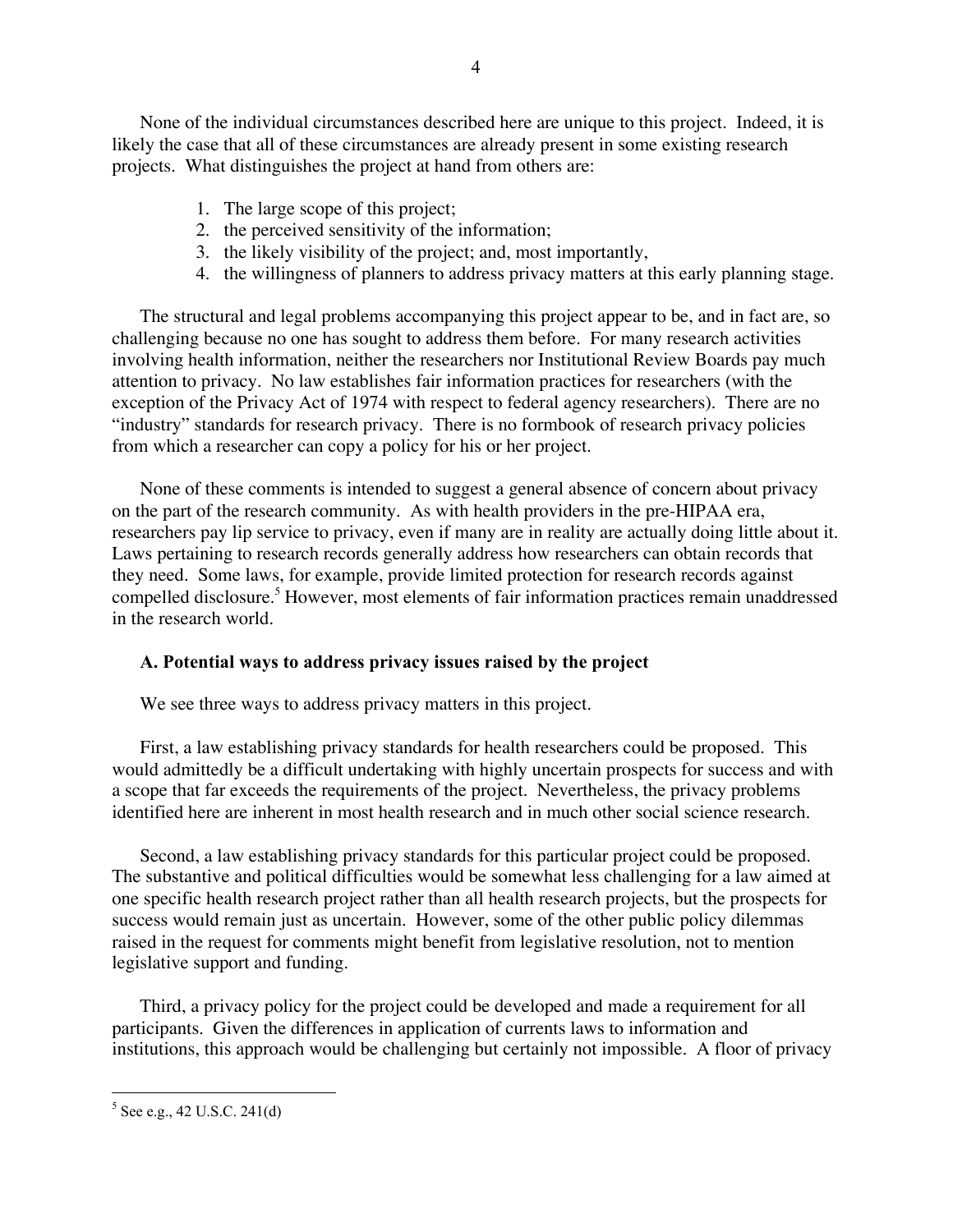None of the individual circumstances described here are unique to this project. Indeed, it is likely the case that all of these circumstances are already present in some existing research projects. What distinguishes the project at hand from others are:

- 1. The large scope of this project;
- 2. the perceived sensitivity of the information;
- 3. the likely visibility of the project; and, most importantly,
- 4. the willingness of planners to address privacy matters at this early planning stage.

The structural and legal problems accompanying this project appear to be, and in fact are, so challenging because no one has sought to address them before. For many research activities involving health information, neither the researchers nor Institutional Review Boards pay much attention to privacy. No law establishes fair information practices for researchers (with the exception of the Privacy Act of 1974 with respect to federal agency researchers). There are no "industry" standards for research privacy. There is no formbook of research privacy policies from which a researcher can copy a policy for his or her project.

None of these comments is intended to suggest a general absence of concern about privacy on the part of the research community. As with health providers in the pre-HIPAA era, researchers pay lip service to privacy, even if many are in reality are actually doing little about it. Laws pertaining to research records generally address how researchers can obtain records that they need. Some laws, for example, provide limited protection for research records against compelled disclosure.<sup>5</sup> However, most elements of fair information practices remain unaddressed in the research world.

# A. Potential ways to address privacy issues raised by the project

We see three ways to address privacy matters in this project.

First, a law establishing privacy standards for health researchers could be proposed. This would admittedly be a difficult undertaking with highly uncertain prospects for success and with a scope that far exceeds the requirements of the project. Nevertheless, the privacy problems identified here are inherent in most health research and in much other social science research.

Second, a law establishing privacy standards for this particular project could be proposed. The substantive and political difficulties would be somewhat less challenging for a law aimed at one specific health research project rather than all health research projects, but the prospects for success would remain just as uncertain. However, some of the other public policy dilemmas raised in the request for comments might benefit from legislative resolution, not to mention legislative support and funding.

Third, a privacy policy for the project could be developed and made a requirement for all participants. Given the differences in application of currents laws to information and institutions, this approach would be challenging but certainly not impossible. A floor of privacy

5  $5$  See e.g., 42 U.S.C. 241(d)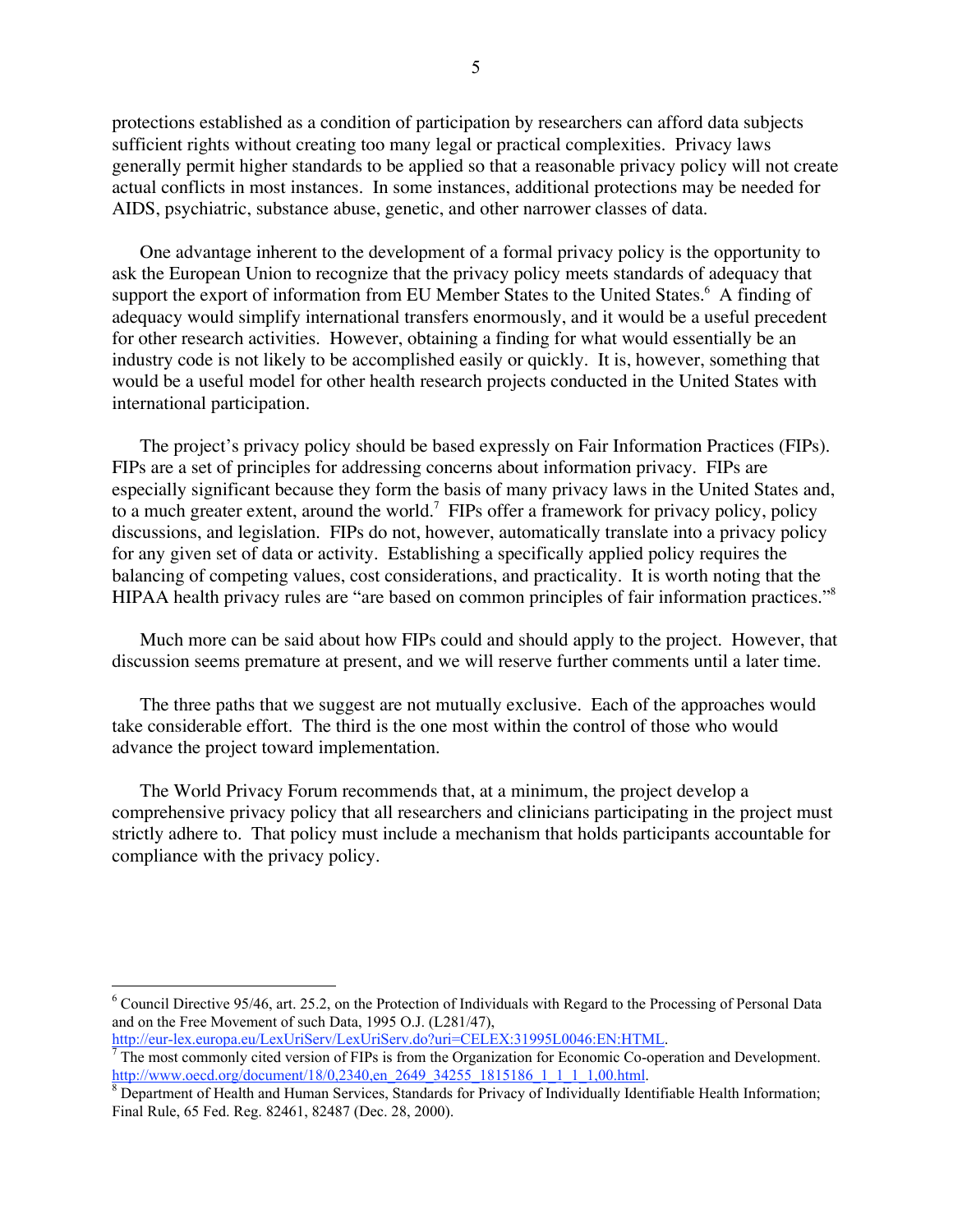protections established as a condition of participation by researchers can afford data subjects sufficient rights without creating too many legal or practical complexities. Privacy laws generally permit higher standards to be applied so that a reasonable privacy policy will not create actual conflicts in most instances. In some instances, additional protections may be needed for AIDS, psychiatric, substance abuse, genetic, and other narrower classes of data.

One advantage inherent to the development of a formal privacy policy is the opportunity to ask the European Union to recognize that the privacy policy meets standards of adequacy that support the export of information from EU Member States to the United States.<sup>6</sup> A finding of adequacy would simplify international transfers enormously, and it would be a useful precedent for other research activities. However, obtaining a finding for what would essentially be an industry code is not likely to be accomplished easily or quickly. It is, however, something that would be a useful model for other health research projects conducted in the United States with international participation.

The project's privacy policy should be based expressly on Fair Information Practices (FIPs). FIPs are a set of principles for addressing concerns about information privacy. FIPs are especially significant because they form the basis of many privacy laws in the United States and, to a much greater extent, around the world.<sup>7</sup> FIPs offer a framework for privacy policy, policy discussions, and legislation. FIPs do not, however, automatically translate into a privacy policy for any given set of data or activity. Establishing a specifically applied policy requires the balancing of competing values, cost considerations, and practicality. It is worth noting that the HIPAA health privacy rules are "are based on common principles of fair information practices."<sup>8</sup>

Much more can be said about how FIPs could and should apply to the project. However, that discussion seems premature at present, and we will reserve further comments until a later time.

The three paths that we suggest are not mutually exclusive. Each of the approaches would take considerable effort. The third is the one most within the control of those who would advance the project toward implementation.

The World Privacy Forum recommends that, at a minimum, the project develop a comprehensive privacy policy that all researchers and clinicians participating in the project must strictly adhere to. That policy must include a mechanism that holds participants accountable for compliance with the privacy policy.

 $\frac{1}{6}$  Council Directive 95/46, art. 25.2, on the Protection of Individuals with Regard to the Processing of Personal Data and on the Free Movement of such Data, 1995 O.J. (L281/47),

http://eur-lex.europa.eu/LexUriServ/LexUriServ.do?uri=CELEX:31995L0046:EN:HTML.

 $<sup>7</sup>$  The most commonly cited version of FIPs is from the Organization for Economic Co-operation and Development.</sup> http://www.oecd.org/document/18/0,2340.en\_2649\_34255\_1815186\_1\_1\_1\_1,00.html.<br><sup>8</sup> Department of Health and Human Services, Standards for Privacy of Individually Identifiable Health Information;

Final Rule, 65 Fed. Reg. 82461, 82487 (Dec. 28, 2000).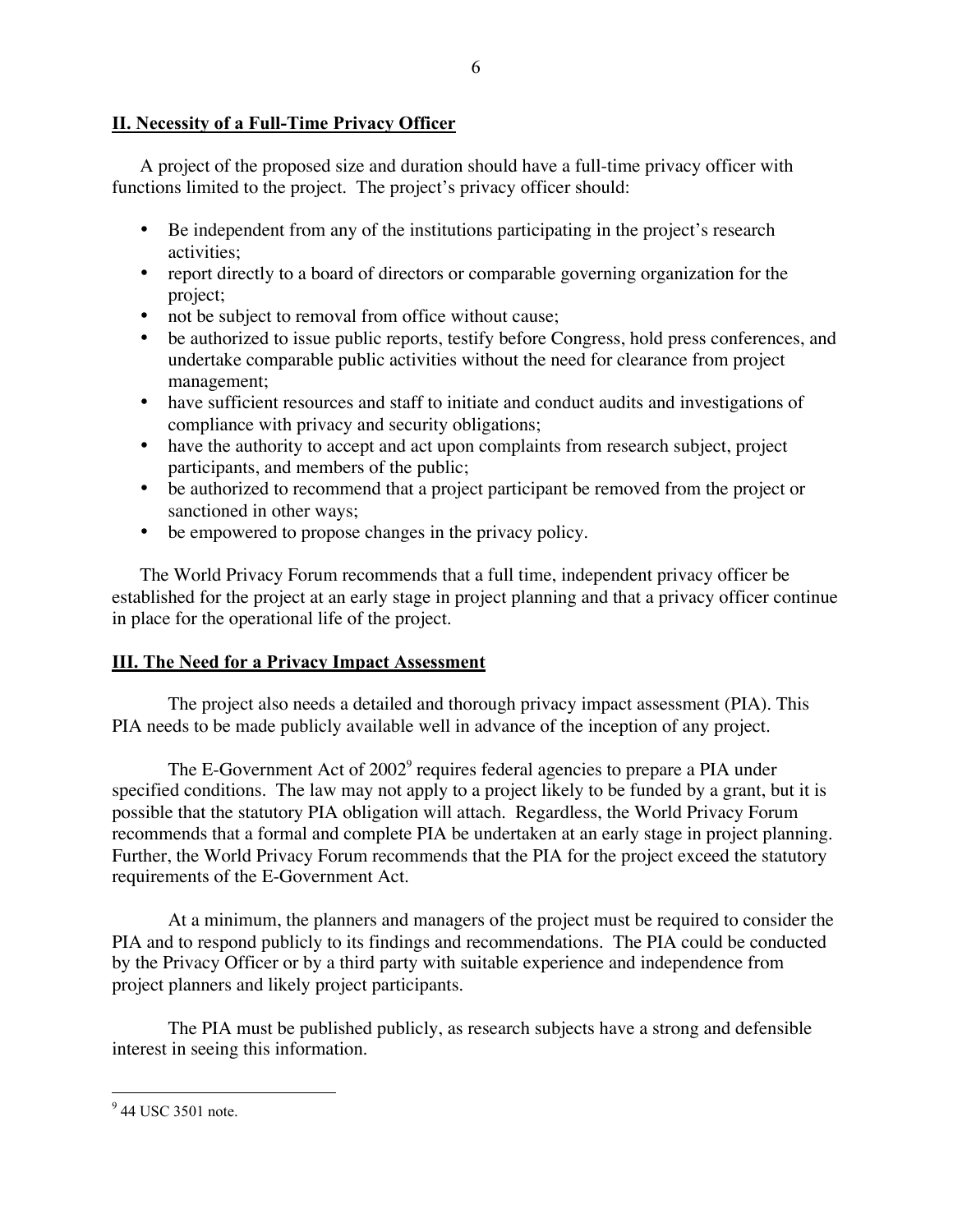# II. Necessity of a Full-Time Privacy Officer

A project of the proposed size and duration should have a full-time privacy officer with functions limited to the project. The project's privacy officer should:

- Be independent from any of the institutions participating in the project's research activities;
- report directly to a board of directors or comparable governing organization for the project;
- not be subject to removal from office without cause;
- be authorized to issue public reports, testify before Congress, hold press conferences, and undertake comparable public activities without the need for clearance from project management;
- have sufficient resources and staff to initiate and conduct audits and investigations of compliance with privacy and security obligations;
- have the authority to accept and act upon complaints from research subject, project participants, and members of the public;
- be authorized to recommend that a project participant be removed from the project or sanctioned in other ways;
- be empowered to propose changes in the privacy policy.

The World Privacy Forum recommends that a full time, independent privacy officer be established for the project at an early stage in project planning and that a privacy officer continue in place for the operational life of the project.

# III. The Need for a Privacy Impact Assessment

The project also needs a detailed and thorough privacy impact assessment (PIA). This PIA needs to be made publicly available well in advance of the inception of any project.

The E-Government Act of  $2002^9$  requires federal agencies to prepare a PIA under specified conditions. The law may not apply to a project likely to be funded by a grant, but it is possible that the statutory PIA obligation will attach. Regardless, the World Privacy Forum recommends that a formal and complete PIA be undertaken at an early stage in project planning. Further, the World Privacy Forum recommends that the PIA for the project exceed the statutory requirements of the E-Government Act.

At a minimum, the planners and managers of the project must be required to consider the PIA and to respond publicly to its findings and recommendations. The PIA could be conducted by the Privacy Officer or by a third party with suitable experience and independence from project planners and likely project participants.

The PIA must be published publicly, as research subjects have a strong and defensible interest in seeing this information.

<sup>-&</sup>lt;br>9  $9$  44 USC 3501 note.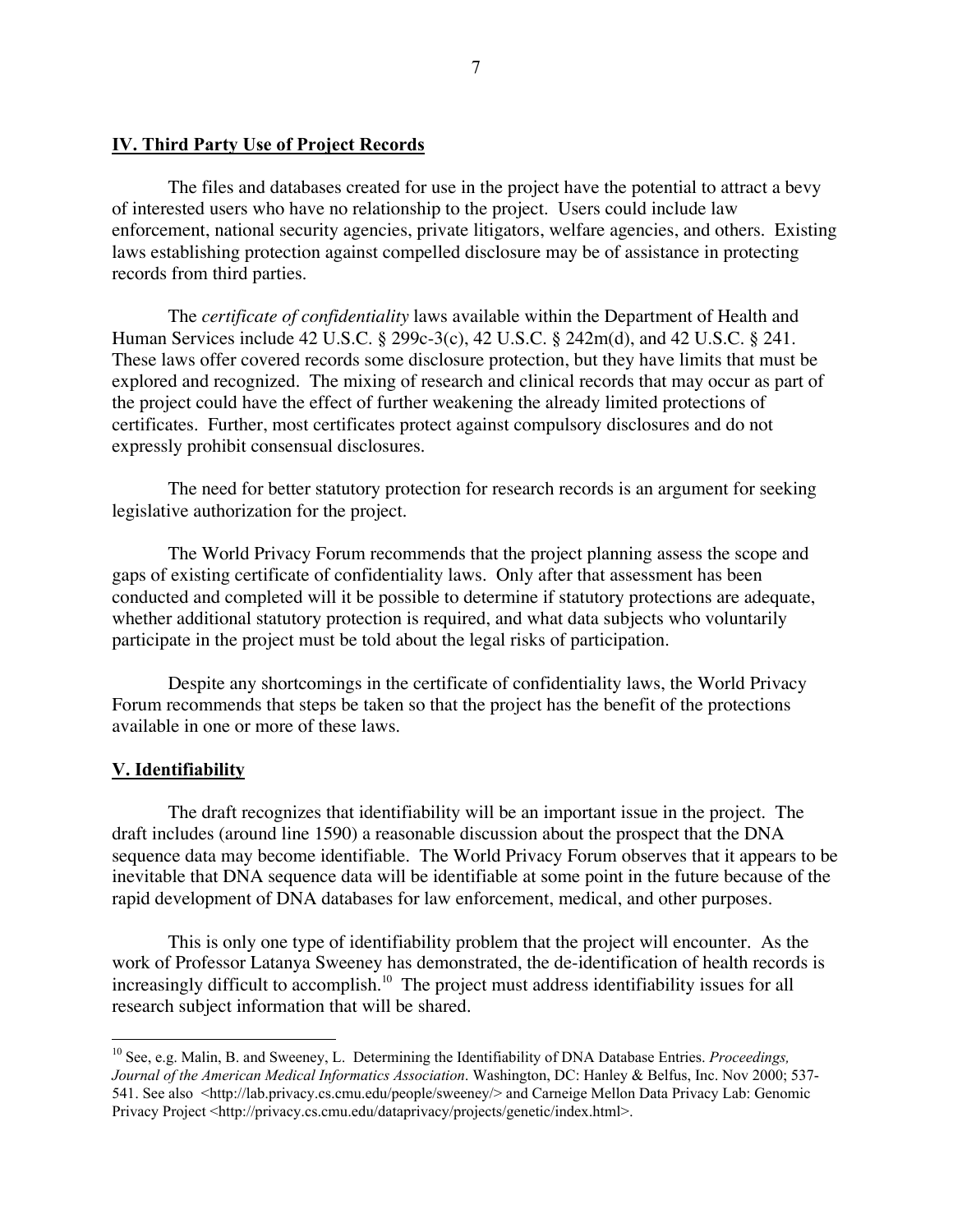### IV. Third Party Use of Project Records

The files and databases created for use in the project have the potential to attract a bevy of interested users who have no relationship to the project. Users could include law enforcement, national security agencies, private litigators, welfare agencies, and others. Existing laws establishing protection against compelled disclosure may be of assistance in protecting records from third parties.

The *certificate of confidentiality* laws available within the Department of Health and Human Services include 42 U.S.C. § 299c-3(c), 42 U.S.C. § 242m(d), and 42 U.S.C. § 241. These laws offer covered records some disclosure protection, but they have limits that must be explored and recognized. The mixing of research and clinical records that may occur as part of the project could have the effect of further weakening the already limited protections of certificates. Further, most certificates protect against compulsory disclosures and do not expressly prohibit consensual disclosures.

The need for better statutory protection for research records is an argument for seeking legislative authorization for the project.

The World Privacy Forum recommends that the project planning assess the scope and gaps of existing certificate of confidentiality laws. Only after that assessment has been conducted and completed will it be possible to determine if statutory protections are adequate, whether additional statutory protection is required, and what data subjects who voluntarily participate in the project must be told about the legal risks of participation.

Despite any shortcomings in the certificate of confidentiality laws, the World Privacy Forum recommends that steps be taken so that the project has the benefit of the protections available in one or more of these laws.

### V. Identifiability

The draft recognizes that identifiability will be an important issue in the project. The draft includes (around line 1590) a reasonable discussion about the prospect that the DNA sequence data may become identifiable. The World Privacy Forum observes that it appears to be inevitable that DNA sequence data will be identifiable at some point in the future because of the rapid development of DNA databases for law enforcement, medical, and other purposes.

This is only one type of identifiability problem that the project will encounter. As the work of Professor Latanya Sweeney has demonstrated, the de-identification of health records is increasingly difficult to accomplish.<sup>10</sup> The project must address identifiability issues for all research subject information that will be shared.

10 See, e.g. Malin, B. and Sweeney, L. Determining the Identifiability of DNA Database Entries. *Proceedings, Journal of the American Medical Informatics Association*. Washington, DC: Hanley & Belfus, Inc. Nov 2000; 537- 541. See also <http://lab.privacy.cs.cmu.edu/people/sweeney/> and Carneige Mellon Data Privacy Lab: Genomic Privacy Project <http://privacy.cs.cmu.edu/dataprivacy/projects/genetic/index.html>.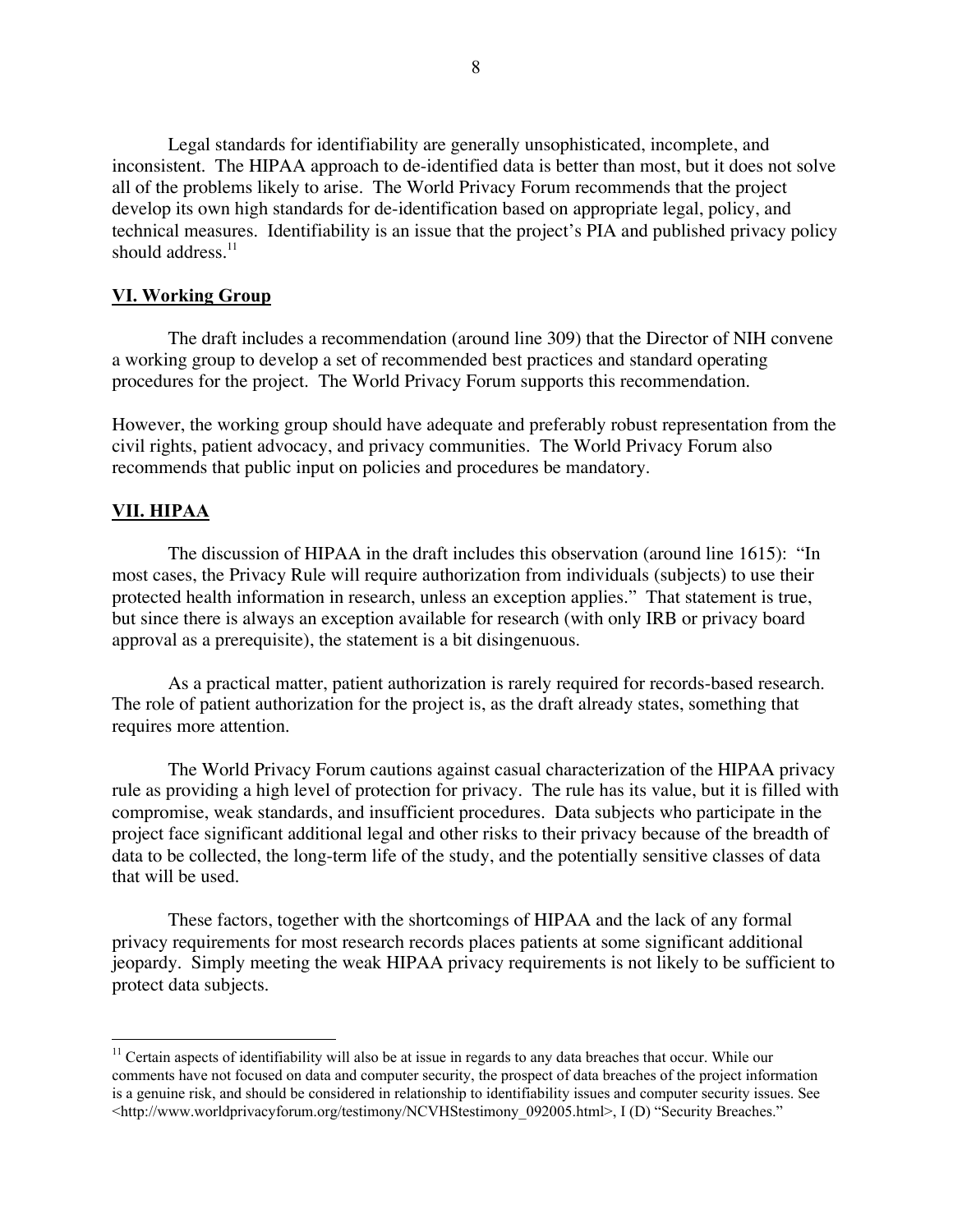Legal standards for identifiability are generally unsophisticated, incomplete, and inconsistent. The HIPAA approach to de-identified data is better than most, but it does not solve all of the problems likely to arise. The World Privacy Forum recommends that the project develop its own high standards for de-identification based on appropriate legal, policy, and technical measures. Identifiability is an issue that the project's PIA and published privacy policy should address. $11$ 

#### VI. Working Group

The draft includes a recommendation (around line 309) that the Director of NIH convene a working group to develop a set of recommended best practices and standard operating procedures for the project. The World Privacy Forum supports this recommendation.

However, the working group should have adequate and preferably robust representation from the civil rights, patient advocacy, and privacy communities. The World Privacy Forum also recommends that public input on policies and procedures be mandatory.

#### VII. HIPAA

The discussion of HIPAA in the draft includes this observation (around line 1615): "In most cases, the Privacy Rule will require authorization from individuals (subjects) to use their protected health information in research, unless an exception applies." That statement is true, but since there is always an exception available for research (with only IRB or privacy board approval as a prerequisite), the statement is a bit disingenuous.

As a practical matter, patient authorization is rarely required for records-based research. The role of patient authorization for the project is, as the draft already states, something that requires more attention.

The World Privacy Forum cautions against casual characterization of the HIPAA privacy rule as providing a high level of protection for privacy. The rule has its value, but it is filled with compromise, weak standards, and insufficient procedures. Data subjects who participate in the project face significant additional legal and other risks to their privacy because of the breadth of data to be collected, the long-term life of the study, and the potentially sensitive classes of data that will be used.

These factors, together with the shortcomings of HIPAA and the lack of any formal privacy requirements for most research records places patients at some significant additional jeopardy. Simply meeting the weak HIPAA privacy requirements is not likely to be sufficient to protect data subjects.

<sup>&</sup>lt;sup>11</sup> Certain aspects of identifiability will also be at issue in regards to any data breaches that occur. While our comments have not focused on data and computer security, the prospect of data breaches of the project information is a genuine risk, and should be considered in relationship to identifiability issues and computer security issues. See <http://www.worldprivacyforum.org/testimony/NCVHStestimony\_092005.html>, I (D) "Security Breaches."